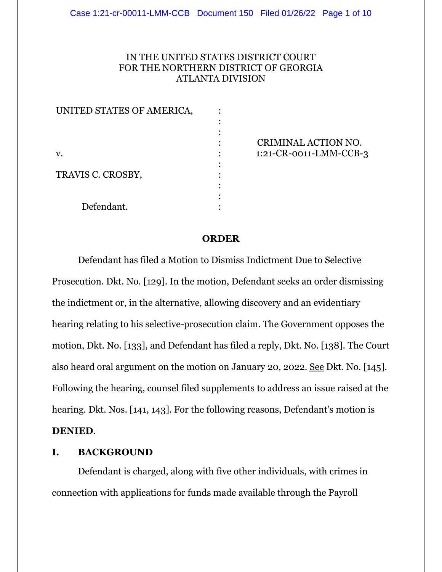## IN THE UNITED STATES DISTRICT COURT FOR THE NORTHERN DISTRICT OF GEORGIA ATLANTA DIVISION

| UNITED STATES OF AMERICA, |                        |
|---------------------------|------------------------|
|                           |                        |
|                           |                        |
|                           | CRIMINAL ACTION NO.    |
| v.                        | 1:21-CR-0011-LMM-CCB-3 |
|                           |                        |
| TRAVIS C. CROSBY,         |                        |
|                           |                        |
|                           |                        |
| Defendant.                |                        |

#### **ORDER**

Defendant has filed a Motion to Dismiss Indictment Due to Selective Prosecution. Dkt. No. [129]. In the motion, Defendant seeks an order dismissing the indictment or, in the alternative, allowing discovery and an evidentiary hearing relating to his selective-prosecution claim. The Government opposes the motion, Dkt. No. [133], and Defendant has filed a reply, Dkt. No. [138]. The Court also heard oral argument on the motion on January 20, 2022. See Dkt. No. [145]. Following the hearing, counsel filed supplements to address an issue raised at the hearing. Dkt. Nos. [141, 143]. For the following reasons, Defendant's motion is **DENIED**.

## **I. BACKGROUND**

Defendant is charged, along with five other individuals, with crimes in connection with applications for funds made available through the Payroll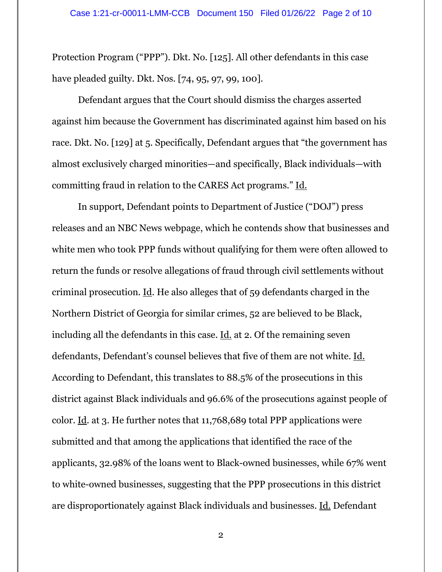Protection Program ("PPP"). Dkt. No. [125]. All other defendants in this case have pleaded guilty. Dkt. Nos. [74, 95, 97, 99, 100].

Defendant argues that the Court should dismiss the charges asserted against him because the Government has discriminated against him based on his race. Dkt. No. [129] at 5. Specifically, Defendant argues that "the government has almost exclusively charged minorities—and specifically, Black individuals—with committing fraud in relation to the CARES Act programs." Id.

In support, Defendant points to Department of Justice ("DOJ") press releases and an NBC News webpage, which he contends show that businesses and white men who took PPP funds without qualifying for them were often allowed to return the funds or resolve allegations of fraud through civil settlements without criminal prosecution. Id. He also alleges that of 59 defendants charged in the Northern District of Georgia for similar crimes, 52 are believed to be Black, including all the defendants in this case. Id. at 2. Of the remaining seven defendants, Defendant's counsel believes that five of them are not white. Id. According to Defendant, this translates to 88.5% of the prosecutions in this district against Black individuals and 96.6% of the prosecutions against people of color. Id. at 3. He further notes that 11,768,689 total PPP applications were submitted and that among the applications that identified the race of the applicants, 32.98% of the loans went to Black-owned businesses, while 67% went to white-owned businesses, suggesting that the PPP prosecutions in this district are disproportionately against Black individuals and businesses. Id. Defendant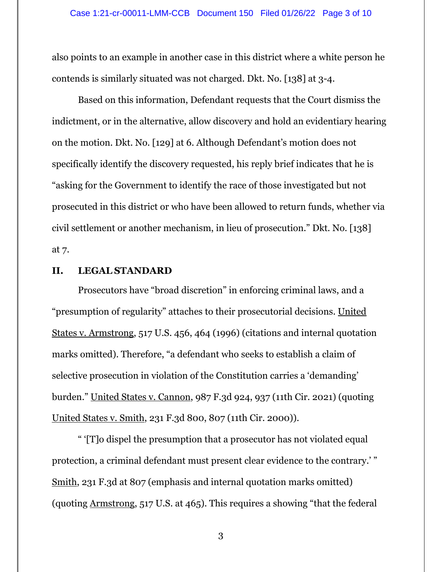also points to an example in another case in this district where a white person he contends is similarly situated was not charged. Dkt. No. [138] at 3-4.

Based on this information, Defendant requests that the Court dismiss the indictment, or in the alternative, allow discovery and hold an evidentiary hearing on the motion. Dkt. No. [129] at 6. Although Defendant's motion does not specifically identify the discovery requested, his reply brief indicates that he is "asking for the Government to identify the race of those investigated but not prosecuted in this district or who have been allowed to return funds, whether via civil settlement or another mechanism, in lieu of prosecution." Dkt. No. [138] at 7.

## **II. LEGAL STANDARD**

Prosecutors have "broad discretion" in enforcing criminal laws, and a "presumption of regularity" attaches to their prosecutorial decisions. United States v. Armstrong, 517 U.S. 456, 464 (1996) (citations and internal quotation marks omitted). Therefore, "a defendant who seeks to establish a claim of selective prosecution in violation of the Constitution carries a 'demanding' burden." United States v. Cannon, 987 F.3d 924, 937 (11th Cir. 2021) (quoting United States v. Smith, 231 F.3d 800, 807 (11th Cir. 2000)).

" '[T]o dispel the presumption that a prosecutor has not violated equal protection, a criminal defendant must present clear evidence to the contrary.' " Smith, 231 F.3d at 807 (emphasis and internal quotation marks omitted) (quoting Armstrong, 517 U.S. at 465). This requires a showing "that the federal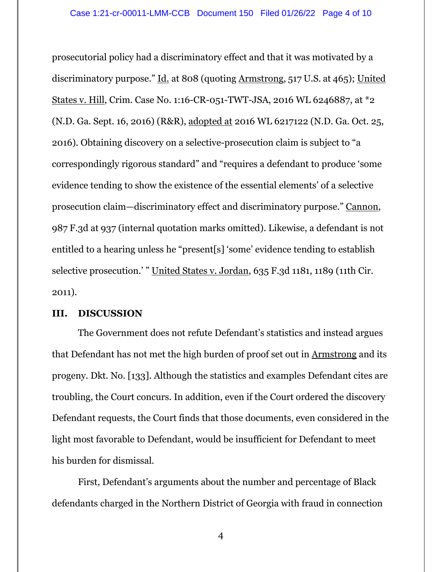prosecutorial policy had a discriminatory effect and that it was motivated by a discriminatory purpose." Id. at 808 (quoting Armstrong, 517 U.S. at 465); United States v. Hill, Crim. Case No. 1:16-CR-051-TWT-JSA, 2016 WL 6246887, at \*2 (N.D. Ga. Sept. 16, 2016) (R&R), adopted at 2016 WL 6217122 (N.D. Ga. Oct. 25, 2016). Obtaining discovery on a selective-prosecution claim is subject to "a correspondingly rigorous standard" and "requires a defendant to produce 'some evidence tending to show the existence of the essential elements' of a selective prosecution claim—discriminatory effect and discriminatory purpose." Cannon, 987 F.3d at 937 (internal quotation marks omitted). Likewise, a defendant is not entitled to a hearing unless he "present[s] 'some' evidence tending to establish selective prosecution.' " United States v. Jordan, 635 F.3d 1181, 1189 (11th Cir. 2011).

#### **III. DISCUSSION**

The Government does not refute Defendant's statistics and instead argues that Defendant has not met the high burden of proof set out in Armstrong and its progeny. Dkt. No. [133]. Although the statistics and examples Defendant cites are troubling, the Court concurs. In addition, even if the Court ordered the discovery Defendant requests, the Court finds that those documents, even considered in the light most favorable to Defendant, would be insufficient for Defendant to meet his burden for dismissal.

First, Defendant's arguments about the number and percentage of Black defendants charged in the Northern District of Georgia with fraud in connection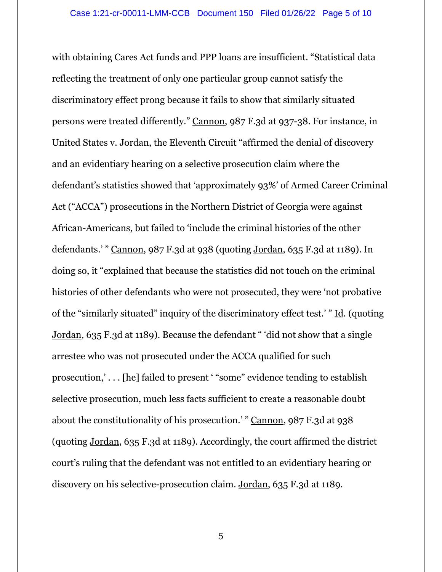with obtaining Cares Act funds and PPP loans are insufficient. "Statistical data reflecting the treatment of only one particular group cannot satisfy the discriminatory effect prong because it fails to show that similarly situated persons were treated differently." Cannon, 987 F.3d at 937-38. For instance, in United States v. Jordan, the Eleventh Circuit "affirmed the denial of discovery and an evidentiary hearing on a selective prosecution claim where the defendant's statistics showed that 'approximately 93%' of Armed Career Criminal Act ("ACCA") prosecutions in the Northern District of Georgia were against African-Americans, but failed to 'include the criminal histories of the other defendants.' " Cannon, 987 F.3d at 938 (quoting Jordan, 635 F.3d at 1189). In doing so, it "explained that because the statistics did not touch on the criminal histories of other defendants who were not prosecuted, they were 'not probative of the "similarly situated" inquiry of the discriminatory effect test.' " Id. (quoting Jordan, 635 F.3d at 1189). Because the defendant " 'did not show that a single arrestee who was not prosecuted under the ACCA qualified for such prosecution,' . . . [he] failed to present ' "some" evidence tending to establish selective prosecution, much less facts sufficient to create a reasonable doubt about the constitutionality of his prosecution.' " Cannon, 987 F.3d at 938 (quoting Jordan, 635 F.3d at 1189). Accordingly, the court affirmed the district court's ruling that the defendant was not entitled to an evidentiary hearing or discovery on his selective-prosecution claim. Jordan, 635 F.3d at 1189.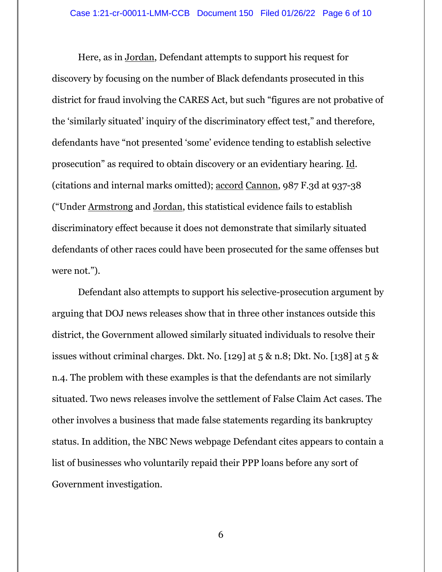Here, as in Jordan, Defendant attempts to support his request for discovery by focusing on the number of Black defendants prosecuted in this district for fraud involving the CARES Act, but such "figures are not probative of the 'similarly situated' inquiry of the discriminatory effect test," and therefore, defendants have "not presented 'some' evidence tending to establish selective prosecution" as required to obtain discovery or an evidentiary hearing. Id. (citations and internal marks omitted); accord Cannon, 987 F.3d at 937-38 ("Under Armstrong and Jordan, this statistical evidence fails to establish discriminatory effect because it does not demonstrate that similarly situated defendants of other races could have been prosecuted for the same offenses but were not.").

Defendant also attempts to support his selective-prosecution argument by arguing that DOJ news releases show that in three other instances outside this district, the Government allowed similarly situated individuals to resolve their issues without criminal charges. Dkt. No. [129] at 5 & n.8; Dkt. No. [138] at 5 & n.4. The problem with these examples is that the defendants are not similarly situated. Two news releases involve the settlement of False Claim Act cases. The other involves a business that made false statements regarding its bankruptcy status. In addition, the NBC News webpage Defendant cites appears to contain a list of businesses who voluntarily repaid their PPP loans before any sort of Government investigation.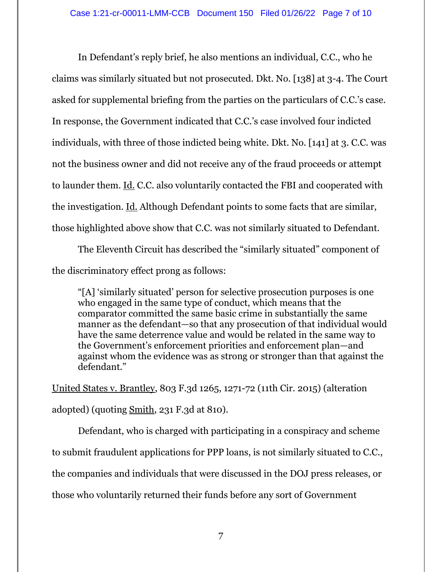In Defendant's reply brief, he also mentions an individual, C.C., who he claims was similarly situated but not prosecuted. Dkt. No. [138] at 3-4. The Court asked for supplemental briefing from the parties on the particulars of C.C.'s case. In response, the Government indicated that C.C.'s case involved four indicted individuals, with three of those indicted being white. Dkt. No. [141] at 3. C.C. was not the business owner and did not receive any of the fraud proceeds or attempt to launder them. Id. C.C. also voluntarily contacted the FBI and cooperated with the investigation. Id. Although Defendant points to some facts that are similar, those highlighted above show that C.C. was not similarly situated to Defendant.

The Eleventh Circuit has described the "similarly situated" component of the discriminatory effect prong as follows:

"[A] 'similarly situated' person for selective prosecution purposes is one who engaged in the same type of conduct, which means that the comparator committed the same basic crime in substantially the same manner as the defendant—so that any prosecution of that individual would have the same deterrence value and would be related in the same way to the Government's enforcement priorities and enforcement plan—and against whom the evidence was as strong or stronger than that against the defendant."

United States v. Brantley, 803 F.3d 1265, 1271-72 (11th Cir. 2015) (alteration adopted) (quoting Smith, 231 F.3d at 810).

Defendant, who is charged with participating in a conspiracy and scheme to submit fraudulent applications for PPP loans, is not similarly situated to C.C., the companies and individuals that were discussed in the DOJ press releases, or those who voluntarily returned their funds before any sort of Government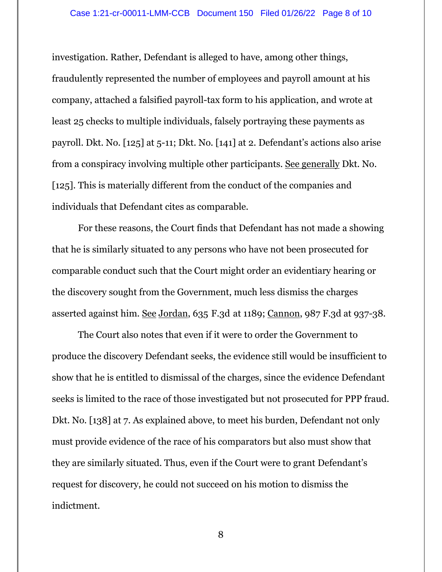investigation. Rather, Defendant is alleged to have, among other things, fraudulently represented the number of employees and payroll amount at his company, attached a falsified payroll-tax form to his application, and wrote at least 25 checks to multiple individuals, falsely portraying these payments as payroll. Dkt. No. [125] at 5-11; Dkt. No. [141] at 2. Defendant's actions also arise from a conspiracy involving multiple other participants. See generally Dkt. No. [125]. This is materially different from the conduct of the companies and individuals that Defendant cites as comparable.

For these reasons, the Court finds that Defendant has not made a showing that he is similarly situated to any persons who have not been prosecuted for comparable conduct such that the Court might order an evidentiary hearing or the discovery sought from the Government, much less dismiss the charges asserted against him. See Jordan, 635 F.3d at 1189; Cannon, 987 F.3d at 937-38.

The Court also notes that even if it were to order the Government to produce the discovery Defendant seeks, the evidence still would be insufficient to show that he is entitled to dismissal of the charges, since the evidence Defendant seeks is limited to the race of those investigated but not prosecuted for PPP fraud. Dkt. No. [138] at 7. As explained above, to meet his burden, Defendant not only must provide evidence of the race of his comparators but also must show that they are similarly situated. Thus, even if the Court were to grant Defendant's request for discovery, he could not succeed on his motion to dismiss the indictment.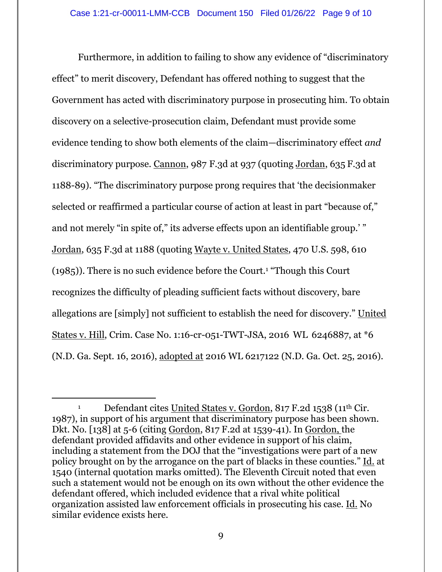Furthermore, in addition to failing to show any evidence of "discriminatory effect" to merit discovery, Defendant has offered nothing to suggest that the Government has acted with discriminatory purpose in prosecuting him. To obtain discovery on a selective-prosecution claim, Defendant must provide some evidence tending to show both elements of the claim—discriminatory effect *and* discriminatory purpose. Cannon, 987 F.3d at 937 (quoting Jordan, 635 F.3d at 1188-89). "The discriminatory purpose prong requires that 'the decisionmaker selected or reaffirmed a particular course of action at least in part "because of," and not merely "in spite of," its adverse effects upon an identifiable group.'" Jordan, 635 F.3d at 1188 (quoting Wayte v. United States, 470 U.S. 598, 610 (1985)). There is no such evidence before the Court.<sup>1</sup> "Though this Court recognizes the difficulty of pleading sufficient facts without discovery, bare allegations are [simply] not sufficient to establish the need for discovery." United States v. Hill, Crim. Case No. 1:16-cr-051-TWT-JSA, 2016 WL 6246887, at \*6 (N.D. Ga. Sept. 16, 2016), adopted at 2016 WL 6217122 (N.D. Ga. Oct. 25, 2016).

<sup>&</sup>lt;sup>1</sup> Defendant cites United States v. Gordon, 817 F.2d 1538 (11<sup>th</sup> Cir. 1987), in support of his argument that discriminatory purpose has been shown. Dkt. No. [138] at 5-6 (citing Gordon, 817 F.2d at 1539-41). In Gordon, the defendant provided affidavits and other evidence in support of his claim, including a statement from the DOJ that the "investigations were part of a new policy brought on by the arrogance on the part of blacks in these counties." Id. at 1540 (internal quotation marks omitted). The Eleventh Circuit noted that even such a statement would not be enough on its own without the other evidence the defendant offered, which included evidence that a rival white political organization assisted law enforcement officials in prosecuting his case. Id. No similar evidence exists here.